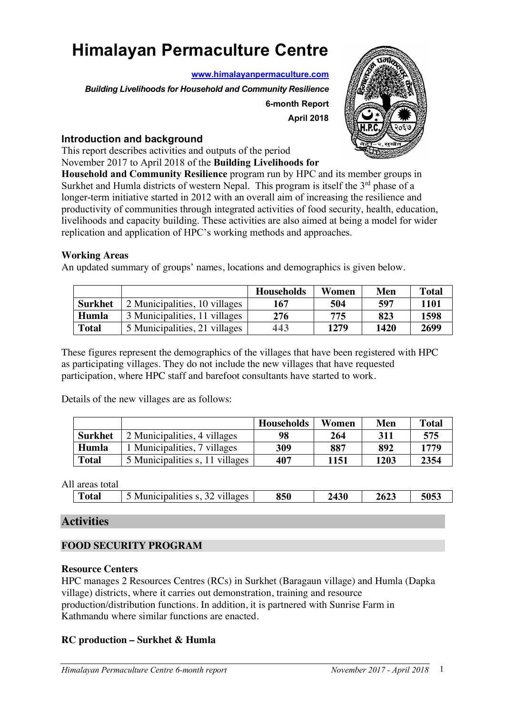# **Himalayan Permaculture Centre**

**www.himalayanpermaculture.com**

*Building Livelihoods for Household and Community Resilience*

**6-month Report April 2018**



### **Introduction and background**

This report describes activities and outputs of the period

November 2017 to April 2018 of the **Building Livelihoods for Household and Community Resilience** program run by HPC and its member groups in

Surkhet and Humla districts of western Nepal. This program is itself the  $3<sup>rd</sup>$  phase of a longer-term initiative started in 2012 with an overall aim of increasing the resilience and productivity of communities through integrated activities of food security, health, education, livelihoods and capacity building. These activities are also aimed at being a model for wider replication and application of HPC's working methods and approaches.

### **Working Areas**

An updated summary of groups' names, locations and demographics is given below.

|                |                               | <b>Households</b> | Women | Men  | <b>Total</b> |
|----------------|-------------------------------|-------------------|-------|------|--------------|
| <b>Surkhet</b> | 2 Municipalities, 10 villages | 167               | 504   | 597  | 1101         |
| Humla          | 3 Municipalities, 11 villages | 276               | 775   | 823  | 1598         |
| <b>Total</b>   | 5 Municipalities, 21 villages | 443               | 1279  | 1420 | 2699         |

These figures represent the demographics of the villages that have been registered with HPC as participating villages. They do not include the new villages that have requested participation, where HPC staff and barefoot consultants have started to work.

Details of the new villages are as follows:

|                |                                 | <b>Households</b> | Women | Men  | <b>Total</b> |
|----------------|---------------------------------|-------------------|-------|------|--------------|
| <b>Surkhet</b> | 2 Municipalities, 4 villages    | 98                | 264   | 311  | 575          |
| Humla          | 1 Municipalities, 7 villages    | 309               | 887   | 892  | 1779         |
| <b>Total</b>   | 5 Municipalities s, 11 villages | 407               | 1151  | 1203 | 2354         |

| All | total<br>areas |                               |     |             |      |      |
|-----|----------------|-------------------------------|-----|-------------|------|------|
|     | <b>Total</b>   | Municipalities s.<br>villages | 850 | <b>2430</b> | 2623 | 5053 |

# **Activities**

# **FOOD SECURITY PROGRAM**

### **Resource Centers**

HPC manages 2 Resources Centres (RCs) in Surkhet (Baragaun village) and Humla (Dapka village) districts, where it carries out demonstration, training and resource production/distribution functions. In addition, it is partnered with Sunrise Farm in Kathmandu where similar functions are enacted.

### **RC production – Surkhet & Humla**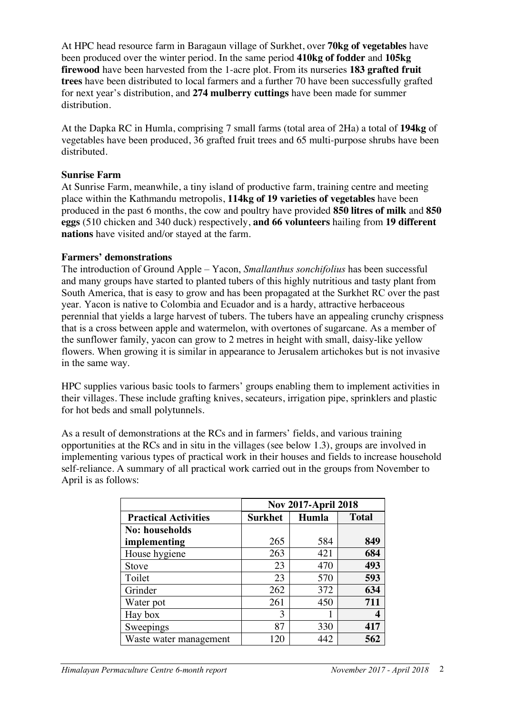At HPC head resource farm in Baragaun village of Surkhet, over **70kg of vegetables** have been produced over the winter period. In the same period **410kg of fodder** and **105kg firewood** have been harvested from the 1-acre plot. From its nurseries **183 grafted fruit trees** have been distributed to local farmers and a further 70 have been successfully grafted for next year's distribution, and **274 mulberry cuttings** have been made for summer distribution.

At the Dapka RC in Humla, comprising 7 small farms (total area of 2Ha) a total of **194kg** of vegetables have been produced, 36 grafted fruit trees and 65 multi-purpose shrubs have been distributed.

#### **Sunrise Farm**

At Sunrise Farm, meanwhile, a tiny island of productive farm, training centre and meeting place within the Kathmandu metropolis, **114kg of 19 varieties of vegetables** have been produced in the past 6 months, the cow and poultry have provided **850 litres of milk** and **850 eggs** (510 chicken and 340 duck) respectively, **and 66 volunteers** hailing from **19 different nations** have visited and/or stayed at the farm.

#### **Farmers' demonstrations**

The introduction of Ground Apple – Yacon, *Smallanthus sonchifolius* has been successful and many groups have started to planted tubers of this highly nutritious and tasty plant from South America, that is easy to grow and has been propagated at the Surkhet RC over the past year. Yacon is native to Colombia and Ecuador and is a hardy, attractive herbaceous perennial that yields a large harvest of tubers. The tubers have an appealing crunchy crispness that is a cross between apple and watermelon, with overtones of sugarcane. As a member of the sunflower family, yacon can grow to 2 metres in height with small, daisy-like yellow flowers. When growing it is similar in appearance to Jerusalem artichokes but is not invasive in the same way.

HPC supplies various basic tools to farmers' groups enabling them to implement activities in their villages. These include grafting knives, secateurs, irrigation pipe, sprinklers and plastic for hot beds and small polytunnels.

As a result of demonstrations at the RCs and in farmers' fields, and various training opportunities at the RCs and in situ in the villages (see below 1.3), groups are involved in implementing various types of practical work in their houses and fields to increase household self-reliance. A summary of all practical work carried out in the groups from November to April is as follows:

|                             | <b>Nov 2017-April 2018</b> |       |              |  |  |  |  |
|-----------------------------|----------------------------|-------|--------------|--|--|--|--|
| <b>Practical Activities</b> | <b>Surkhet</b>             | Humla | <b>Total</b> |  |  |  |  |
| <b>No: households</b>       |                            |       |              |  |  |  |  |
| implementing                | 265                        | 584   | 849          |  |  |  |  |
| House hygiene               | 263                        | 421   | 684          |  |  |  |  |
| <b>Stove</b>                | 23                         | 470   | 493          |  |  |  |  |
| Toilet                      | 23                         | 570   | 593          |  |  |  |  |
| Grinder                     | 262                        | 372   | 634          |  |  |  |  |
| Water pot                   | 261                        | 450   | 711          |  |  |  |  |
| Hay box                     | 3                          |       |              |  |  |  |  |
| Sweepings                   | 87                         | 330   | 417          |  |  |  |  |
| Waste water management      | 120                        | 442   | 562          |  |  |  |  |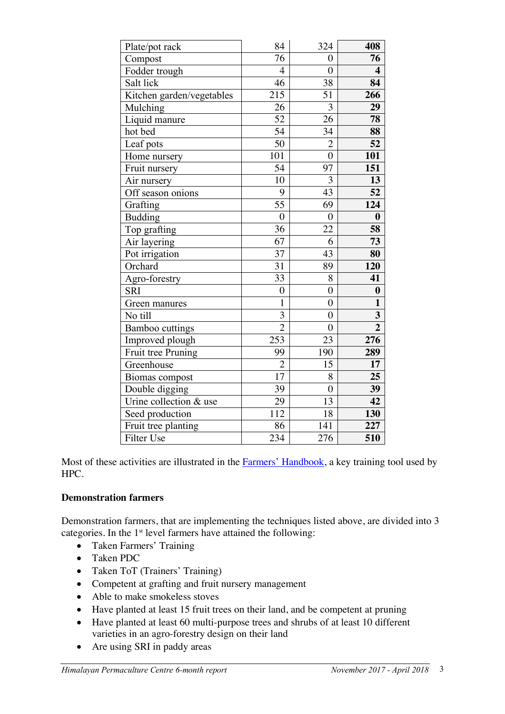| Plate/pot rack            | 84               | 324              | 408                     |
|---------------------------|------------------|------------------|-------------------------|
| Compost                   | 76               | $\boldsymbol{0}$ | 76                      |
| Fodder trough             | $\overline{4}$   | $\overline{0}$   | $\overline{\mathbf{4}}$ |
| Salt lick                 | 46               | 38               | 84                      |
| Kitchen garden/vegetables | 215              | 51               | 266                     |
| Mulching                  | 26               | $\overline{3}$   | 29                      |
| Liquid manure             | $\overline{52}$  | 26               | 78                      |
| hot bed                   | $\overline{54}$  | 34               | 88                      |
| Leaf pots                 | 50               | $\overline{2}$   | 52                      |
| Home nursery              | 101              | $\overline{0}$   | 101                     |
| Fruit nursery             | $\overline{54}$  | 97               | 151                     |
| Air nursery               | 10               | 3                | 13                      |
| Off season onions         | 9                | 43               | 52                      |
| Grafting                  | $\overline{55}$  | 69               | 124                     |
| <b>Budding</b>            | $\overline{0}$   | $\overline{0}$   | $\boldsymbol{0}$        |
| Top grafting              | 36               | 22               | 58                      |
| Air layering              | 67               | 6                | 73                      |
| Pot irrigation            | 37               | 43               | 80                      |
| Orchard                   | 31               | 89               | 120                     |
| Agro-forestry             | 33               | 8                | 41                      |
| <b>SRI</b>                | $\boldsymbol{0}$ | $\boldsymbol{0}$ | $\boldsymbol{0}$        |
| Green manures             | $\mathbf{1}$     | $\overline{0}$   | $\mathbf{1}$            |
| No till                   | 3                | $\boldsymbol{0}$ | 3                       |
| <b>Bamboo</b> cuttings    | $\overline{2}$   | $\boldsymbol{0}$ | $\overline{2}$          |
| Improved plough           | 253              | 23               | 276                     |
| Fruit tree Pruning        | 99               | 190              | 289                     |
| Greenhouse                | $\overline{c}$   | 15               | 17                      |
| Biomas compost            | 17               | 8                | 25                      |
| Double digging            | 39               | $\overline{0}$   | $\overline{39}$         |
| Urine collection & use    | 29               | 13               | 42                      |
| Seed production           | 112              | 18               | 130                     |
| Fruit tree planting       | 86               | 141              | 227                     |
| Filter Use                | 234              | 276              | 510                     |

Most of these activities are illustrated in the **Farmers' Handbook**, a key training tool used by HPC.

# **Demonstration farmers**

Demonstration farmers, that are implementing the techniques listed above, are divided into 3 categories. In the 1<sup>st</sup> level farmers have attained the following:

- Taken Farmers' Training
- Taken PDC
- Taken ToT (Trainers' Training)
- Competent at grafting and fruit nursery management
- Able to make smokeless stoves
- Have planted at least 15 fruit trees on their land, and be competent at pruning
- Have planted at least 60 multi-purpose trees and shrubs of at least 10 different varieties in an agro-forestry design on their land
- Are using SRI in paddy areas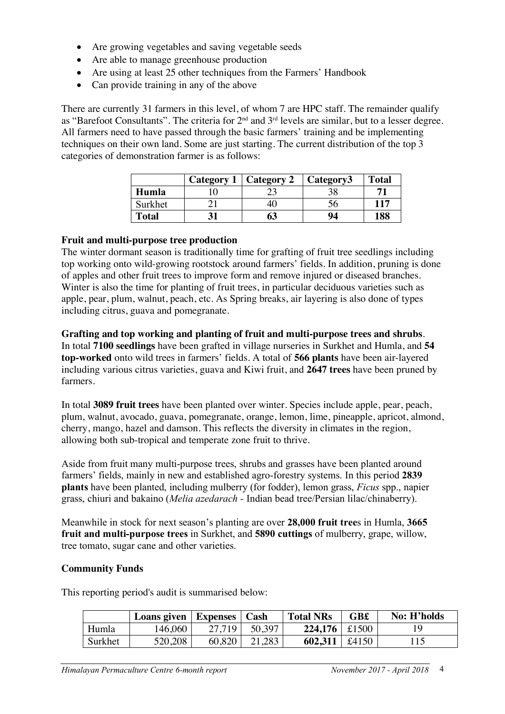- Are growing vegetables and saving vegetable seeds
- Are able to manage greenhouse production
- Are using at least 25 other techniques from the Farmers' Handbook
- Can provide training in any of the above

There are currently 31 farmers in this level, of whom 7 are HPC staff. The remainder qualify as "Barefoot Consultants". The criteria for  $2^{nd}$  and  $3^{rd}$  levels are similar, but to a lesser degree. All farmers need to have passed through the basic farmers' training and be implementing techniques on their own land. Some are just starting. The current distribution of the top 3 categories of demonstration farmer is as follows:

|              | Category 1   Category 2 | Category3 | <b>Total</b> |
|--------------|-------------------------|-----------|--------------|
| Humla        |                         |           |              |
| Surkhet      |                         |           | 117          |
| <b>Total</b> | 63                      | 94        | 188          |

### **Fruit and multi-purpose tree production**

The winter dormant season is traditionally time for grafting of fruit tree seedlings including top working onto wild-growing rootstock around farmers' fields. In addition, pruning is done of apples and other fruit trees to improve form and remove injured or diseased branches. Winter is also the time for planting of fruit trees, in particular deciduous varieties such as apple, pear, plum, walnut, peach, etc. As Spring breaks, air layering is also done of types including citrus, guava and pomegranate.

**Grafting and top working and planting of fruit and multi-purpose trees and shrubs**. In total **7100 seedlings** have been grafted in village nurseries in Surkhet and Humla, and **54 top-worked** onto wild trees in farmers' fields. A total of **566 plants** have been air-layered including various citrus varieties, guava and Kiwi fruit, and **2647 trees** have been pruned by farmers.

In total **3089 fruit trees** have been planted over winter. Species include apple, pear, peach, plum, walnut, avocado, guava, pomegranate, orange, lemon, lime, pineapple, apricot, almond, cherry, mango, hazel and damson. This reflects the diversity in climates in the region, allowing both sub-tropical and temperate zone fruit to thrive.

Aside from fruit many multi-purpose trees, shrubs and grasses have been planted around farmers' fields, mainly in new and established agro-forestry systems. In this period **2839 plants** have been planted, including mulberry (for fodder), lemon grass, *Ficus* spp., napier grass, chiuri and bakaino (*Melia azedarach -* Indian bead tree/Persian lilac/chinaberry).

Meanwhile in stock for next season's planting are over **28,000 fruit tree**s in Humla, **3665 fruit and multi-purpose trees** in Surkhet, and **5890 cuttings** of mulberry, grape, willow, tree tomato, sugar cane and other varieties.

#### **Community Funds**

This reporting period's audit is summarised below:

|         | Loans given   Expenses |        | Cash   | <b>Total NRs</b>    | <b>GB£</b> | No: H'holds |
|---------|------------------------|--------|--------|---------------------|------------|-------------|
| Humla   | 146,060                | 27.719 | 50.397 | $224.176 \div 1500$ |            |             |
| Surkhet | 520,208                | 60,820 | 21,283 | 602,311   £4150     |            | 115         |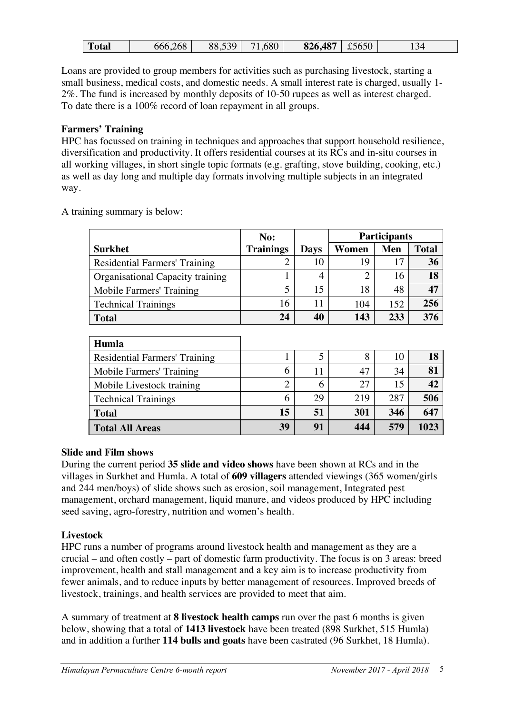| 826,487<br>666,268<br>,680<br>£5650<br>539<br>88,539<br><b>Total</b><br>$\Delta$<br>⊥້<br>رسه |  |
|-----------------------------------------------------------------------------------------------|--|
|-----------------------------------------------------------------------------------------------|--|

Loans are provided to group members for activities such as purchasing livestock, starting a small business, medical costs, and domestic needs. A small interest rate is charged, usually 1- 2%. The fund is increased by monthly deposits of 10-50 rupees as well as interest charged. To date there is a 100% record of loan repayment in all groups.

# **Farmers' Training**

HPC has focussed on training in techniques and approaches that support household resilience, diversification and productivity. It offers residential courses at its RCs and in-situ courses in all working villages, in short single topic formats (e.g. grafting, stove building, cooking, etc.) as well as day long and multiple day formats involving multiple subjects in an integrated way.

A training summary is below:

|                                      | No:              |             | <b>Participants</b> |            |              |  |
|--------------------------------------|------------------|-------------|---------------------|------------|--------------|--|
| <b>Surkhet</b>                       | <b>Trainings</b> | <b>Days</b> | Women               | <b>Men</b> | <b>Total</b> |  |
| <b>Residential Farmers' Training</b> |                  | 10          | 19                  | 17         | 36           |  |
| Organisational Capacity training     |                  | 4           | 2                   | 16         | 18           |  |
| Mobile Farmers' Training             | 5                | 15          | 18                  | 48         | 47           |  |
| <b>Technical Trainings</b>           | 16               | 11          | 104                 | 152        | 256          |  |
| <b>Total</b>                         | 24               | 40          | 143                 | 233        | 376          |  |
|                                      |                  |             |                     |            |              |  |

| Humla                         |    |    |     |     |      |
|-------------------------------|----|----|-----|-----|------|
| Residential Farmers' Training |    |    | 8   | 10  | 18   |
| Mobile Farmers' Training      | 6  | 11 | 47  | 34  | 81   |
| Mobile Livestock training     | ⌒  | h  | 27  |     | 42   |
| <b>Technical Trainings</b>    | 6  | 29 | 219 | 287 | 506  |
| <b>Total</b>                  | 15 | 51 | 301 | 346 | 647  |
| <b>Total All Areas</b>        | 39 | 91 | 444 | 579 | 1023 |

### **Slide and Film shows**

During the current period **35 slide and video shows** have been shown at RCs and in the villages in Surkhet and Humla. A total of **609 villagers** attended viewings (365 women/girls and 244 men/boys) of slide shows such as erosion, soil management, Integrated pest management, orchard management, liquid manure, and videos produced by HPC including seed saving, agro-forestry, nutrition and women's health.

# **Livestock**

HPC runs a number of programs around livestock health and management as they are a crucial – and often costly – part of domestic farm productivity. The focus is on 3 areas: breed improvement, health and stall management and a key aim is to increase productivity from fewer animals, and to reduce inputs by better management of resources. Improved breeds of livestock, trainings, and health services are provided to meet that aim.

A summary of treatment at **8 livestock health camps** run over the past 6 months is given below, showing that a total of **1413 livestock** have been treated (898 Surkhet, 515 Humla) and in addition a further **114 bulls and goats** have been castrated (96 Surkhet, 18 Humla).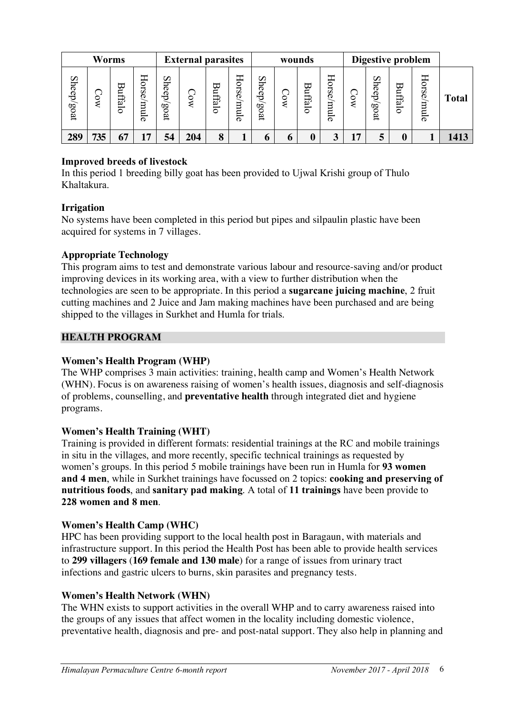| <b>Worms</b><br><b>External parasites</b> |                           |                   |                      | Digestive problem<br>wounds                   |     |                |            |                |         |                 |                         |    |                |         |            |              |
|-------------------------------------------|---------------------------|-------------------|----------------------|-----------------------------------------------|-----|----------------|------------|----------------|---------|-----------------|-------------------------|----|----------------|---------|------------|--------------|
| Sheep/goat                                | $\mathbf{X}^{\mathbf{O}}$ | ₩<br>Ξ.<br>lifalo | Hor<br>8e<br>րպ<br>ō | She<br>ęb,<br>$\mathcal{S}^{\mathbf{O}}$<br>ğ | ्   | <b>Buffalo</b> | Horse/mule | Sheep/<br>soat | $\circ$ | ᢘ<br>⊏<br>lffal | Horse<br>nu<br>$\sigma$ |    | Sheep/<br>post | Buffalo | Horse/mule | <b>Total</b> |
| 289                                       | 735                       | 67                | 17                   | 54                                            | 204 | 8              |            |                | o       | 0               | 2                       | 17 | 5              |         |            | 1413         |

### **Improved breeds of livestock**

In this period 1 breeding billy goat has been provided to Ujwal Krishi group of Thulo Khaltakura.

### **Irrigation**

No systems have been completed in this period but pipes and silpaulin plastic have been acquired for systems in 7 villages.

### **Appropriate Technology**

This program aims to test and demonstrate various labour and resource-saving and/or product improving devices in its working area, with a view to further distribution when the technologies are seen to be appropriate. In this period a **sugarcane juicing machine**, 2 fruit cutting machines and 2 Juice and Jam making machines have been purchased and are being shipped to the villages in Surkhet and Humla for trials.

### **HEALTH PROGRAM**

# **Women's Health Program (WHP)**

The WHP comprises 3 main activities: training, health camp and Women's Health Network (WHN). Focus is on awareness raising of women's health issues, diagnosis and self-diagnosis of problems, counselling, and **preventative health** through integrated diet and hygiene programs.

### **Women's Health Training (WHT)**

Training is provided in different formats: residential trainings at the RC and mobile trainings in situ in the villages, and more recently, specific technical trainings as requested by women's groups. In this period 5 mobile trainings have been run in Humla for **93 women and 4 men**, while in Surkhet trainings have focussed on 2 topics: **cooking and preserving of nutritious foods**, and **sanitary pad making**. A total of **11 trainings** have been provide to **228 women and 8 men**.

### **Women's Health Camp (WHC)**

HPC has been providing support to the local health post in Baragaun, with materials and infrastructure support. In this period the Health Post has been able to provide health services to **299 villagers** (**169 female and 130 male**) for a range of issues from urinary tract infections and gastric ulcers to burns, skin parasites and pregnancy tests.

### **Women's Health Network (WHN)**

The WHN exists to support activities in the overall WHP and to carry awareness raised into the groups of any issues that affect women in the locality including domestic violence, preventative health, diagnosis and pre- and post-natal support. They also help in planning and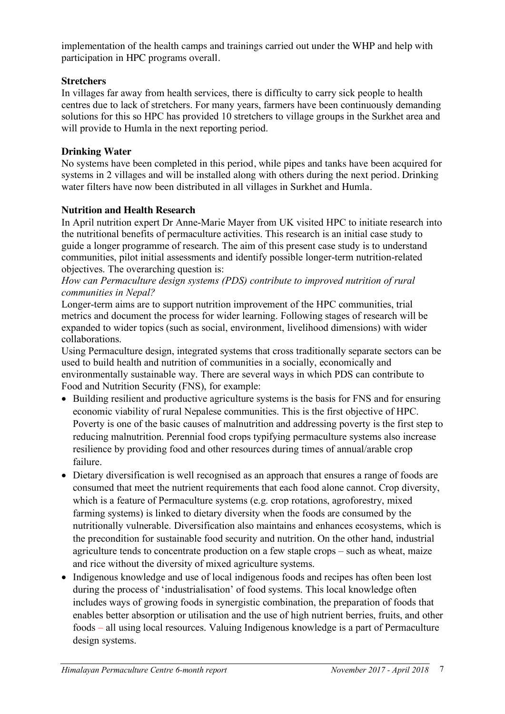implementation of the health camps and trainings carried out under the WHP and help with participation in HPC programs overall.

# **Stretchers**

In villages far away from health services, there is difficulty to carry sick people to health centres due to lack of stretchers. For many years, farmers have been continuously demanding solutions for this so HPC has provided 10 stretchers to village groups in the Surkhet area and will provide to Humla in the next reporting period.

# **Drinking Water**

No systems have been completed in this period, while pipes and tanks have been acquired for systems in 2 villages and will be installed along with others during the next period. Drinking water filters have now been distributed in all villages in Surkhet and Humla.

# **Nutrition and Health Research**

In April nutrition expert Dr Anne-Marie Mayer from UK visited HPC to initiate research into the nutritional benefits of permaculture activities. This research is an initial case study to guide a longer programme of research. The aim of this present case study is to understand communities, pilot initial assessments and identify possible longer-term nutrition-related objectives. The overarching question is:

### *How can Permaculture design systems (PDS) contribute to improved nutrition of rural communities in Nepal?*

Longer-term aims are to support nutrition improvement of the HPC communities, trial metrics and document the process for wider learning. Following stages of research will be expanded to wider topics (such as social, environment, livelihood dimensions) with wider collaborations.

Using Permaculture design, integrated systems that cross traditionally separate sectors can be used to build health and nutrition of communities in a socially, economically and environmentally sustainable way. There are several ways in which PDS can contribute to Food and Nutrition Security (FNS), for example:

- Building resilient and productive agriculture systems is the basis for FNS and for ensuring economic viability of rural Nepalese communities. This is the first objective of HPC. Poverty is one of the basic causes of malnutrition and addressing poverty is the first step to reducing malnutrition. Perennial food crops typifying permaculture systems also increase resilience by providing food and other resources during times of annual/arable crop failure.
- Dietary diversification is well recognised as an approach that ensures a range of foods are consumed that meet the nutrient requirements that each food alone cannot. Crop diversity, which is a feature of Permaculture systems (e.g. crop rotations, agroforestry, mixed farming systems) is linked to dietary diversity when the foods are consumed by the nutritionally vulnerable. Diversification also maintains and enhances ecosystems, which is the precondition for sustainable food security and nutrition. On the other hand, industrial agriculture tends to concentrate production on a few staple crops – such as wheat, maize and rice without the diversity of mixed agriculture systems.
- Indigenous knowledge and use of local indigenous foods and recipes has often been lost during the process of 'industrialisation' of food systems. This local knowledge often includes ways of growing foods in synergistic combination, the preparation of foods that enables better absorption or utilisation and the use of high nutrient berries, fruits, and other foods – all using local resources. Valuing Indigenous knowledge is a part of Permaculture design systems.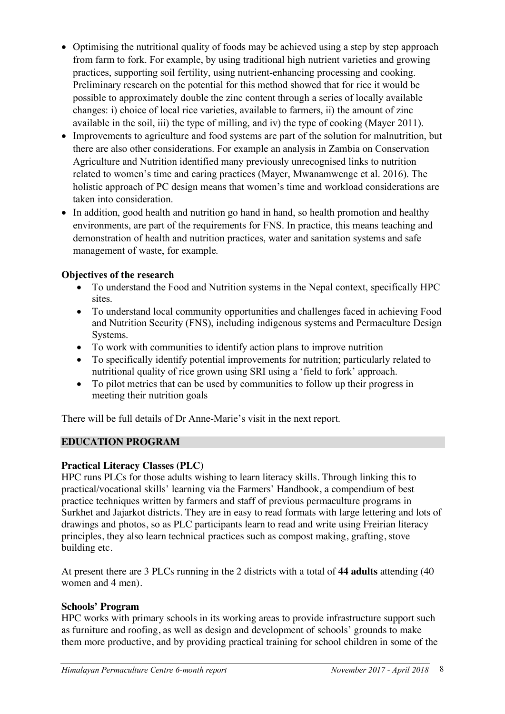- Optimising the nutritional quality of foods may be achieved using a step by step approach from farm to fork. For example, by using traditional high nutrient varieties and growing practices, supporting soil fertility, using nutrient-enhancing processing and cooking. Preliminary research on the potential for this method showed that for rice it would be possible to approximately double the zinc content through a series of locally available changes: i) choice of local rice varieties, available to farmers, ii) the amount of zinc available in the soil, iii) the type of milling, and iv) the type of cooking (Mayer 2011).
- Improvements to agriculture and food systems are part of the solution for malnutrition, but there are also other considerations. For example an analysis in Zambia on Conservation Agriculture and Nutrition identified many previously unrecognised links to nutrition related to women's time and caring practices (Mayer, Mwanamwenge et al. 2016). The holistic approach of PC design means that women's time and workload considerations are taken into consideration.
- In addition, good health and nutrition go hand in hand, so health promotion and healthy environments, are part of the requirements for FNS. In practice, this means teaching and demonstration of health and nutrition practices, water and sanitation systems and safe management of waste, for example.

# **Objectives of the research**

- To understand the Food and Nutrition systems in the Nepal context, specifically HPC sites.
- To understand local community opportunities and challenges faced in achieving Food and Nutrition Security (FNS), including indigenous systems and Permaculture Design Systems.
- To work with communities to identify action plans to improve nutrition
- To specifically identify potential improvements for nutrition; particularly related to nutritional quality of rice grown using SRI using a 'field to fork' approach.
- To pilot metrics that can be used by communities to follow up their progress in meeting their nutrition goals

There will be full details of Dr Anne-Marie's visit in the next report.

# **EDUCATION PROGRAM**

# **Practical Literacy Classes (PLC)**

HPC runs PLCs for those adults wishing to learn literacy skills. Through linking this to practical/vocational skills' learning via the Farmers' Handbook, a compendium of best practice techniques written by farmers and staff of previous permaculture programs in Surkhet and Jajarkot districts. They are in easy to read formats with large lettering and lots of drawings and photos, so as PLC participants learn to read and write using Freirian literacy principles, they also learn technical practices such as compost making, grafting, stove building etc.

At present there are 3 PLCs running in the 2 districts with a total of **44 adults** attending (40 women and 4 men).

# **Schools' Program**

HPC works with primary schools in its working areas to provide infrastructure support such as furniture and roofing, as well as design and development of schools' grounds to make them more productive, and by providing practical training for school children in some of the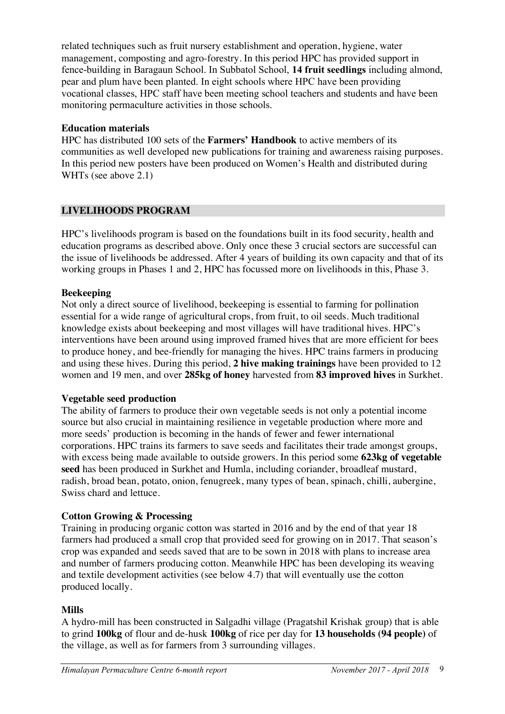related techniques such as fruit nursery establishment and operation, hygiene, water management, composting and agro-forestry. In this period HPC has provided support in fence-building in Baragaun School. In Subbatol School, **14 fruit seedlings** including almond, pear and plum have been planted. In eight schools where HPC have been providing vocational classes, HPC staff have been meeting school teachers and students and have been monitoring permaculture activities in those schools.

### **Education materials**

HPC has distributed 100 sets of the **Farmers' Handbook** to active members of its communities as well developed new publications for training and awareness raising purposes. In this period new posters have been produced on Women's Health and distributed during WHTs (see above 2.1)

# **LIVELIHOODS PROGRAM**

HPC's livelihoods program is based on the foundations built in its food security, health and education programs as described above. Only once these 3 crucial sectors are successful can the issue of livelihoods be addressed. After 4 years of building its own capacity and that of its working groups in Phases 1 and 2, HPC has focussed more on livelihoods in this, Phase 3.

### **Beekeeping**

Not only a direct source of livelihood, beekeeping is essential to farming for pollination essential for a wide range of agricultural crops, from fruit, to oil seeds. Much traditional knowledge exists about beekeeping and most villages will have traditional hives. HPC's interventions have been around using improved framed hives that are more efficient for bees to produce honey, and bee-friendly for managing the hives. HPC trains farmers in producing and using these hives. During this period, **2 hive making trainings** have been provided to 12 women and 19 men, and over **285kg of honey** harvested from **83 improved hives** in Surkhet.

### **Vegetable seed production**

The ability of farmers to produce their own vegetable seeds is not only a potential income source but also crucial in maintaining resilience in vegetable production where more and more seeds' production is becoming in the hands of fewer and fewer international corporations. HPC trains its farmers to save seeds and facilitates their trade amongst groups, with excess being made available to outside growers. In this period some **623kg of vegetable seed** has been produced in Surkhet and Humla, including coriander, broadleaf mustard, radish, broad bean, potato, onion, fenugreek, many types of bean, spinach, chilli, aubergine, Swiss chard and lettuce.

# **Cotton Growing & Processing**

Training in producing organic cotton was started in 2016 and by the end of that year 18 farmers had produced a small crop that provided seed for growing on in 2017. That season's crop was expanded and seeds saved that are to be sown in 2018 with plans to increase area and number of farmers producing cotton. Meanwhile HPC has been developing its weaving and textile development activities (see below 4.7) that will eventually use the cotton produced locally.

# **Mills**

A hydro-mill has been constructed in Salgadhi village (Pragatshil Krishak group) that is able to grind **100kg** of flour and de-husk **100kg** of rice per day for **13 households (94 people)** of the village, as well as for farmers from 3 surrounding villages.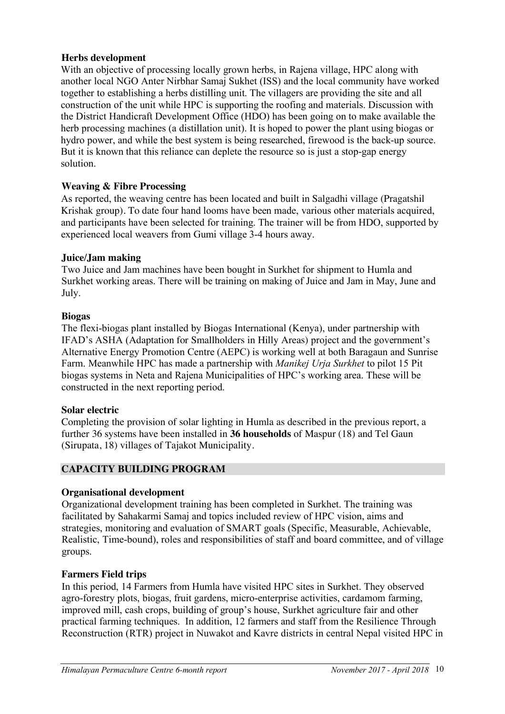### **Herbs development**

With an objective of processing locally grown herbs, in Rajena village, HPC along with another local NGO Anter Nirbhar Samaj Sukhet (ISS) and the local community have worked together to establishing a herbs distilling unit. The villagers are providing the site and all construction of the unit while HPC is supporting the roofing and materials. Discussion with the District Handicraft Development Office (HDO) has been going on to make available the herb processing machines (a distillation unit). It is hoped to power the plant using biogas or hydro power, and while the best system is being researched, firewood is the back-up source. But it is known that this reliance can deplete the resource so is just a stop-gap energy solution.

### **Weaving & Fibre Processing**

As reported, the weaving centre has been located and built in Salgadhi village (Pragatshil Krishak group). To date four hand looms have been made, various other materials acquired, and participants have been selected for training. The trainer will be from HDO, supported by experienced local weavers from Gumi village 3-4 hours away.

### **Juice/Jam making**

Two Juice and Jam machines have been bought in Surkhet for shipment to Humla and Surkhet working areas. There will be training on making of Juice and Jam in May, June and July.

#### **Biogas**

The flexi-biogas plant installed by Biogas International (Kenya), under partnership with IFAD's ASHA (Adaptation for Smallholders in Hilly Areas) project and the government's Alternative Energy Promotion Centre (AEPC) is working well at both Baragaun and Sunrise Farm. Meanwhile HPC has made a partnership with *Manikej Urja Surkhet* to pilot 15 Pit biogas systems in Neta and Rajena Municipalities of HPC's working area. These will be constructed in the next reporting period.

### **Solar electric**

Completing the provision of solar lighting in Humla as described in the previous report, a further 36 systems have been installed in **36 households** of Maspur (18) and Tel Gaun (Sirupata, 18) villages of Tajakot Municipality.

# **CAPACITY BUILDING PROGRAM**

### **Organisational development**

Organizational development training has been completed in Surkhet. The training was facilitated by Sahakarmi Samaj and topics included review of HPC vision, aims and strategies, monitoring and evaluation of SMART goals (Specific, Measurable, Achievable, Realistic, Time-bound), roles and responsibilities of staff and board committee, and of village groups.

### **Farmers Field trips**

In this period, 14 Farmers from Humla have visited HPC sites in Surkhet. They observed agro-forestry plots, biogas, fruit gardens, micro-enterprise activities, cardamom farming, improved mill, cash crops, building of group's house, Surkhet agriculture fair and other practical farming techniques. In addition, 12 farmers and staff from the Resilience Through Reconstruction (RTR) project in Nuwakot and Kavre districts in central Nepal visited HPC in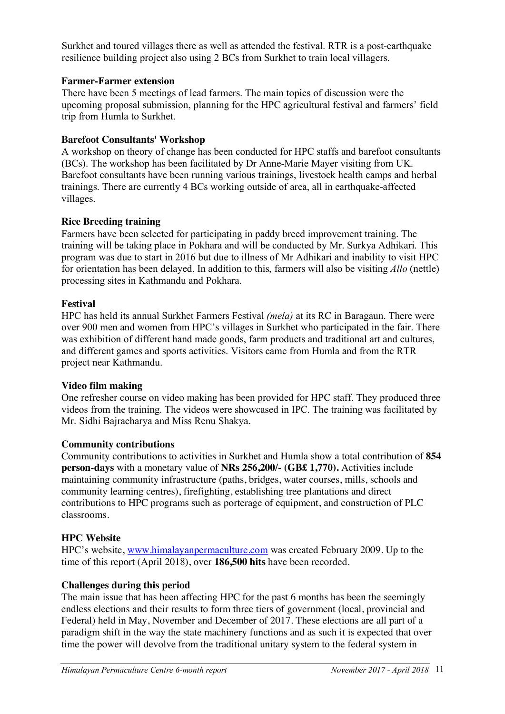Surkhet and toured villages there as well as attended the festival. RTR is a post-earthquake resilience building project also using 2 BCs from Surkhet to train local villagers.

# **Farmer-Farmer extension**

There have been 5 meetings of lead farmers. The main topics of discussion were the upcoming proposal submission, planning for the HPC agricultural festival and farmers' field trip from Humla to Surkhet.

# **Barefoot Consultants' Workshop**

A workshop on theory of change has been conducted for HPC staffs and barefoot consultants (BCs). The workshop has been facilitated by Dr Anne-Marie Mayer visiting from UK. Barefoot consultants have been running various trainings, livestock health camps and herbal trainings. There are currently 4 BCs working outside of area, all in earthquake-affected villages.

### **Rice Breeding training**

Farmers have been selected for participating in paddy breed improvement training. The training will be taking place in Pokhara and will be conducted by Mr. Surkya Adhikari. This program was due to start in 2016 but due to illness of Mr Adhikari and inability to visit HPC for orientation has been delayed. In addition to this, farmers will also be visiting *Allo* (nettle) processing sites in Kathmandu and Pokhara.

### **Festival**

HPC has held its annual Surkhet Farmers Festival *(mela)* at its RC in Baragaun. There were over 900 men and women from HPC's villages in Surkhet who participated in the fair. There was exhibition of different hand made goods, farm products and traditional art and cultures, and different games and sports activities. Visitors came from Humla and from the RTR project near Kathmandu.

### **Video film making**

One refresher course on video making has been provided for HPC staff. They produced three videos from the training. The videos were showcased in IPC. The training was facilitated by Mr. Sidhi Bajracharya and Miss Renu Shakya.

### **Community contributions**

Community contributions to activities in Surkhet and Humla show a total contribution of **854 person-days** with a monetary value of **NRs 256,200/- (GB£ 1,770).** Activities include maintaining community infrastructure (paths, bridges, water courses, mills, schools and community learning centres), firefighting, establishing tree plantations and direct contributions to HPC programs such as porterage of equipment, and construction of PLC classrooms.

# **HPC Website**

HPC's website, www.himalayanpermaculture.com was created February 2009. Up to the time of this report (April 2018), over **186,500 hits** have been recorded.

### **Challenges during this period**

The main issue that has been affecting HPC for the past 6 months has been the seemingly endless elections and their results to form three tiers of government (local, provincial and Federal) held in May, November and December of 2017. These elections are all part of a paradigm shift in the way the state machinery functions and as such it is expected that over time the power will devolve from the traditional unitary system to the federal system in